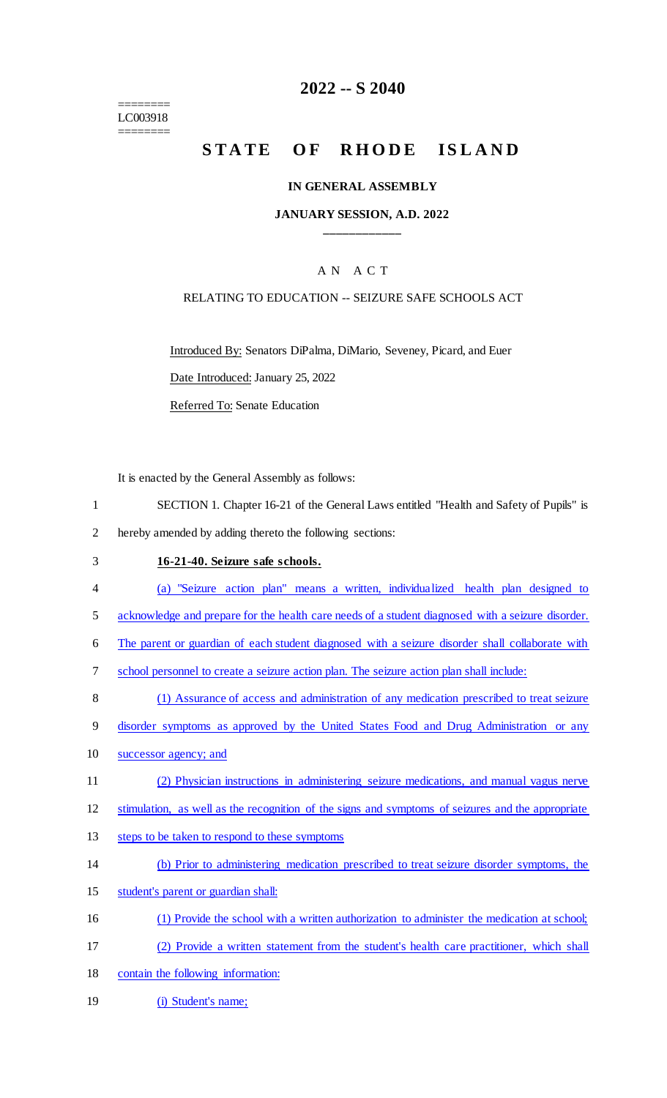======== LC003918 ========

## **2022 -- S 2040**

# STATE OF RHODE ISLAND

#### **IN GENERAL ASSEMBLY**

#### **JANUARY SESSION, A.D. 2022 \_\_\_\_\_\_\_\_\_\_\_\_**

#### A N A C T

#### RELATING TO EDUCATION -- SEIZURE SAFE SCHOOLS ACT

Introduced By: Senators DiPalma, DiMario, Seveney, Picard, and Euer

Date Introduced: January 25, 2022

Referred To: Senate Education

It is enacted by the General Assembly as follows:

- 1 SECTION 1. Chapter 16-21 of the General Laws entitled "Health and Safety of Pupils" is 2 hereby amended by adding thereto the following sections:
- 3 **16-21-40. Seizure safe schools.**
- 4 (a) "Seizure action plan" means a written, individualized health plan designed to
- 5 acknowledge and prepare for the health care needs of a student diagnosed with a seizure disorder.
- 6 The parent or guardian of each student diagnosed with a seizure disorder shall collaborate with
- 7 school personnel to create a seizure action plan. The seizure action plan shall include:
- 8 (1) Assurance of access and administration of any medication prescribed to treat seizure
- 9 disorder symptoms as approved by the United States Food and Drug Administration or any
- 10 successor agency; and
- 11 (2) Physician instructions in administering seizure medications, and manual vagus nerve

12 stimulation, as well as the recognition of the signs and symptoms of seizures and the appropriate

- 13 steps to be taken to respond to these symptoms
- 14 (b) Prior to administering medication prescribed to treat seizure disorder symptoms, the
- 15 student's parent or guardian shall:
- 16 (1) Provide the school with a written authorization to administer the medication at school;
- 17 (2) Provide a written statement from the student's health care practitioner, which shall
- 18 contain the following information:
- 19 (i) Student's name;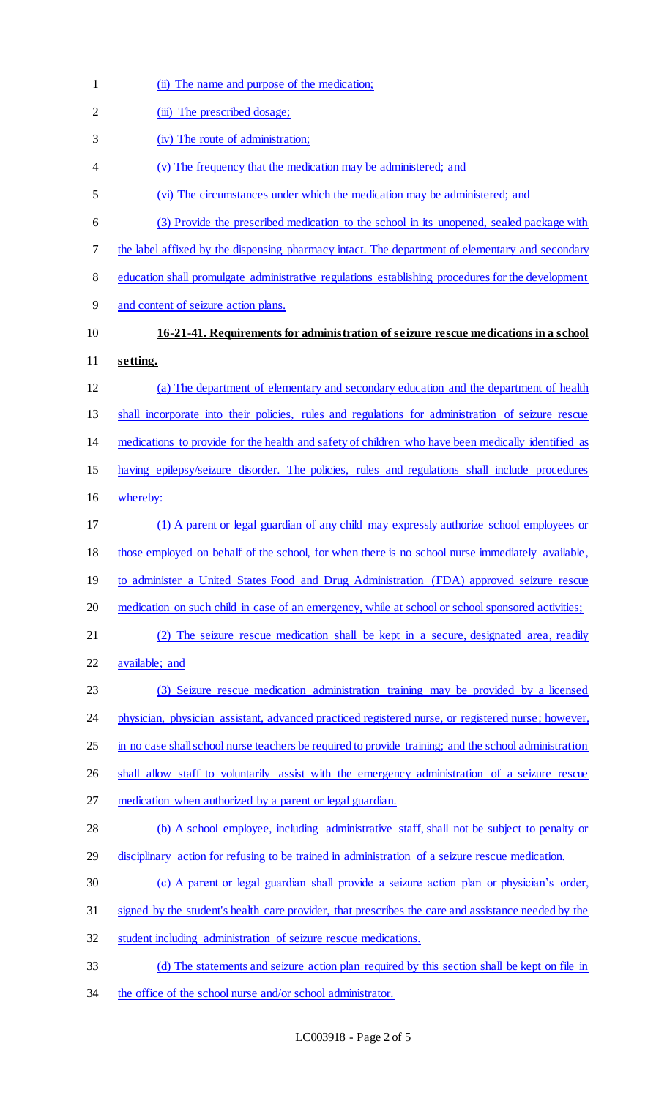| $\mathbf{1}$   | (ii) The name and purpose of the medication;                                                          |
|----------------|-------------------------------------------------------------------------------------------------------|
| $\overline{2}$ | (iii) The prescribed dosage;                                                                          |
| 3              | (iv) The route of administration;                                                                     |
| 4              | (v) The frequency that the medication may be administered; and                                        |
| 5              | (vi) The circumstances under which the medication may be administered; and                            |
| 6              | (3) Provide the prescribed medication to the school in its unopened, sealed package with              |
| 7              | the label affixed by the dispensing pharmacy intact. The department of elementary and secondary       |
| 8              | education shall promulgate administrative regulations establishing procedures for the development     |
| 9              | and content of seizure action plans.                                                                  |
| 10             | 16-21-41. Requirements for administration of seizure rescue medications in a school                   |
| 11             | setting.                                                                                              |
| 12             | (a) The department of elementary and secondary education and the department of health                 |
| 13             | shall incorporate into their policies, rules and regulations for administration of seizure rescue     |
| 14             | medications to provide for the health and safety of children who have been medically identified as    |
| 15             | having epilepsy/seizure disorder. The policies, rules and regulations shall include procedures        |
| 16             | whereby:                                                                                              |
| 17             | (1) A parent or legal guardian of any child may expressly authorize school employees or               |
| 18             | those employed on behalf of the school, for when there is no school nurse immediately available,      |
| 19             | to administer a United States Food and Drug Administration (FDA) approved seizure rescue              |
| 20             | medication on such child in case of an emergency, while at school or school sponsored activities;     |
| 21             | (2) The seizure rescue medication shall be kept in a secure, designated area, readily                 |
| 22             | available; and                                                                                        |
| 23             | (3) Seizure rescue medication administration training may be provided by a licensed                   |
| 24             | physician, physician assistant, advanced practiced registered nurse, or registered nurse; however,    |
| 25             | in no case shall school nurse teachers be required to provide training; and the school administration |
| 26             | shall allow staff to voluntarily assist with the emergency administration of a seizure rescue         |
| 27             | medication when authorized by a parent or legal guardian.                                             |
| 28             | (b) A school employee, including administrative staff, shall not be subject to penalty or             |
| 29             | disciplinary action for refusing to be trained in administration of a seizure rescue medication.      |
| 30             | (c) A parent or legal guardian shall provide a seizure action plan or physician's order,              |
| 31             | signed by the student's health care provider, that prescribes the care and assistance needed by the   |
| 32             | student including administration of seizure rescue medications.                                       |
| 33             | (d) The statements and seizure action plan required by this section shall be kept on file in          |
| 34             | the office of the school nurse and/or school administrator.                                           |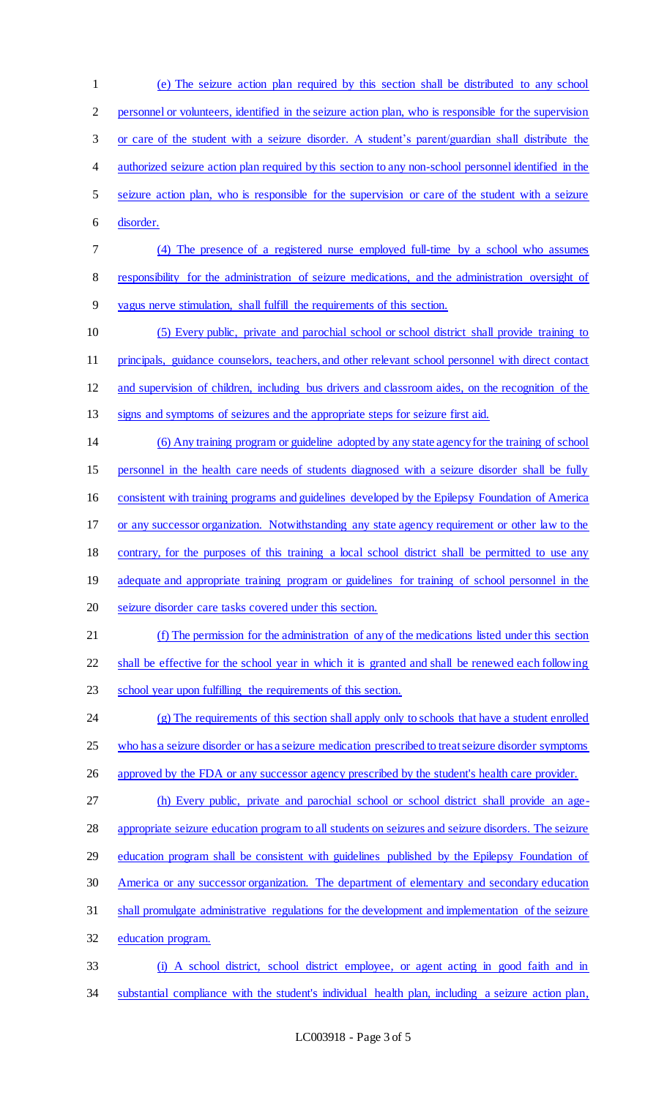(e) The seizure action plan required by this section shall be distributed to any school personnel or volunteers, identified in the seizure action plan, who is responsible for the supervision or care of the student with a seizure disorder. A student's parent/guardian shall distribute the authorized seizure action plan required by this section to any non-school personnel identified in the seizure action plan, who is responsible for the supervision or care of the student with a seizure disorder. (4) The presence of a registered nurse employed full-time by a school who assumes responsibility for the administration of seizure medications, and the administration oversight of vagus nerve stimulation, shall fulfill the requirements of this section. (5) Every public, private and parochial school or school district shall provide training to principals, guidance counselors, teachers, and other relevant school personnel with direct contact and supervision of children, including bus drivers and classroom aides, on the recognition of the signs and symptoms of seizures and the appropriate steps for seizure first aid. (6) Any training program or guideline adopted by any state agency for the training of school personnel in the health care needs of students diagnosed with a seizure disorder shall be fully consistent with training programs and guidelines developed by the Epilepsy Foundation of America 17 or any successor organization. Notwithstanding any state agency requirement or other law to the contrary, for the purposes of this training a local school district shall be permitted to use any 19 adequate and appropriate training program or guidelines for training of school personnel in the seizure disorder care tasks covered under this section. (f) The permission for the administration of any of the medications listed under this section shall be effective for the school year in which it is granted and shall be renewed each following school year upon fulfilling the requirements of this section. (g) The requirements of this section shall apply only to schools that have a student enrolled who has a seizure disorder or has a seizure medication prescribed to treat seizure disorder symptoms 26 approved by the FDA or any successor agency prescribed by the student's health care provider. (h) Every public, private and parochial school or school district shall provide an age-28 appropriate seizure education program to all students on seizures and seizure disorders. The seizure education program shall be consistent with guidelines published by the Epilepsy Foundation of America or any successor organization. The department of elementary and secondary education shall promulgate administrative regulations for the development and implementation of the seizure education program. (i) A school district, school district employee, or agent acting in good faith and in substantial compliance with the student's individual health plan, including a seizure action plan,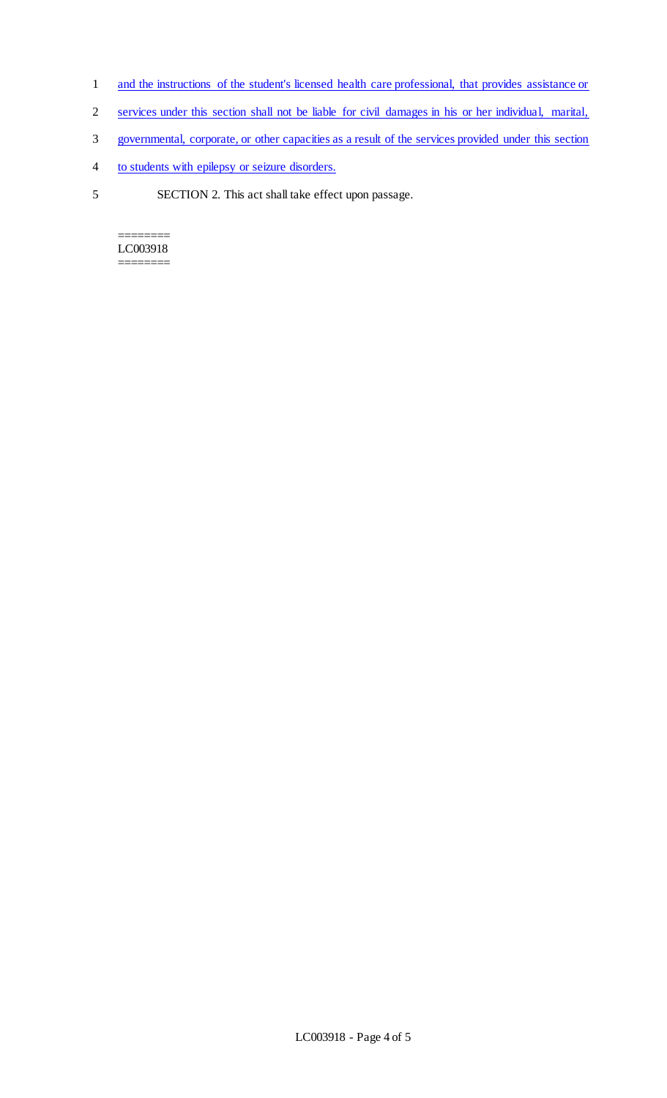- 1 and the instructions of the student's licensed health care professional, that provides assistance or
- 2 services under this section shall not be liable for civil damages in his or her individual, marital,
- 3 governmental, corporate, or other capacities as a result of the services provided under this section
- 4 to students with epilepsy or seizure disorders.
- 5 SECTION 2. This act shall take effect upon passage.

======== LC003918 ========